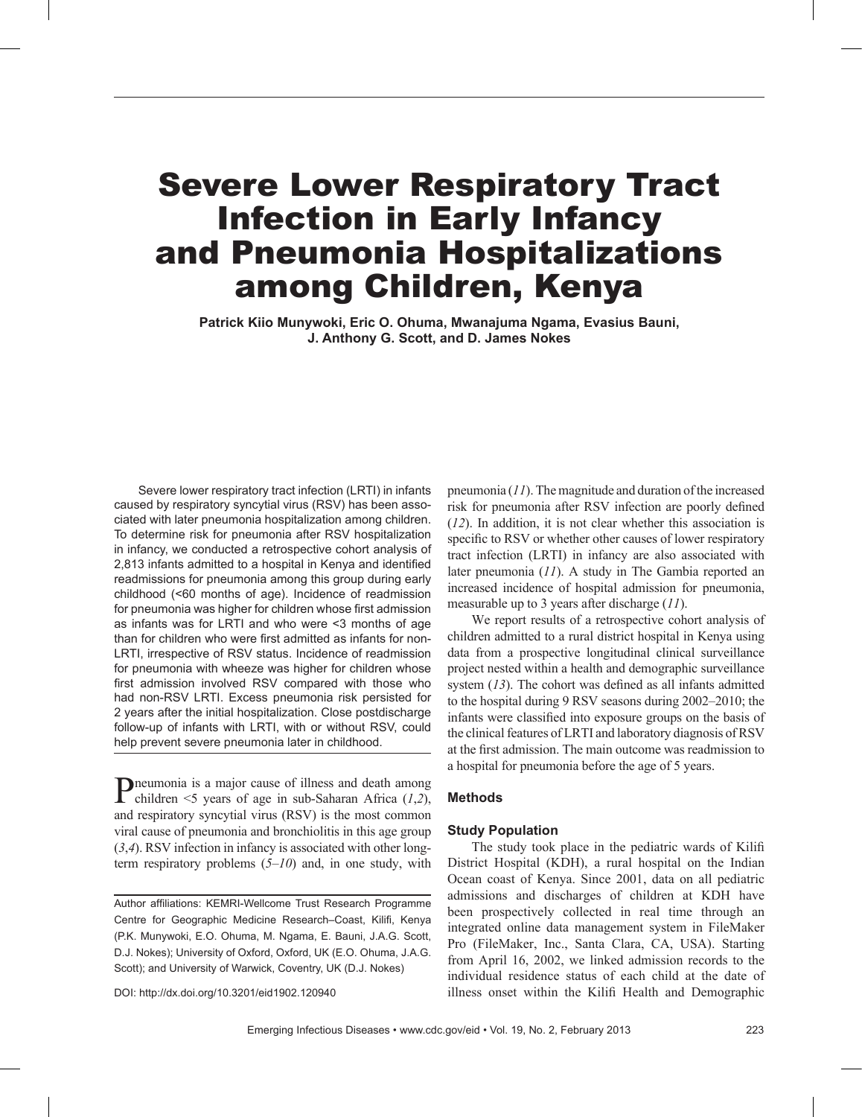# Severe Lower Respiratory Tract Infection in Early Infancy and Pneumonia Hospitalizations among Children, Kenya

**Patrick Kiio Munywoki, Eric O. Ohuma, Mwanajuma Ngama, Evasius Bauni, J. Anthony G. Scott, and D. James Nokes**

Severe lower respiratory tract infection (LRTI) in infants caused by respiratory syncytial virus (RSV) has been associated with later pneumonia hospitalization among children. To determine risk for pneumonia after RSV hospitalization in infancy, we conducted a retrospective cohort analysis of 2,813 infants admitted to a hospital in Kenya and identified readmissions for pneumonia among this group during early childhood (<60 months of age). Incidence of readmission for pneumonia was higher for children whose first admission as infants was for LRTI and who were <3 months of age than for children who were first admitted as infants for non-LRTI, irrespective of RSV status. Incidence of readmission for pneumonia with wheeze was higher for children whose first admission involved RSV compared with those who had non-RSV LRTI. Excess pneumonia risk persisted for 2 years after the initial hospitalization. Close postdischarge follow-up of infants with LRTI, with or without RSV, could help prevent severe pneumonia later in childhood.

Pneumonia is a major cause of illness and death among children <5 years of age in sub-Saharan Africa (*1*,*2*), and respiratory syncytial virus (RSV) is the most common viral cause of pneumonia and bronchiolitis in this age group (*3*,*4*). RSV infection in infancy is associated with other longterm respiratory problems (*5*–*10*) and, in one study, with

Author affiliations: KEMRI-Wellcome Trust Research Programme Centre for Geographic Medicine Research–Coast, Kilifi, Kenya (P.K. Munywoki, E.O. Ohuma, M. Ngama, E. Bauni, J.A.G. Scott, D.J. Nokes); University of Oxford, Oxford, UK (E.O. Ohuma, J.A.G. Scott); and University of Warwick, Coventry, UK (D.J. Nokes)

DOI: http://dx.doi.org/10.3201/eid1902.120940

pneumonia (*11*). The magnitude and duration of the increased risk for pneumonia after RSV infection are poorly defined (*12*). In addition, it is not clear whether this association is specific to RSV or whether other causes of lower respiratory tract infection (LRTI) in infancy are also associated with later pneumonia (*11*). A study in The Gambia reported an increased incidence of hospital admission for pneumonia, measurable up to 3 years after discharge (*11*).

We report results of a retrospective cohort analysis of children admitted to a rural district hospital in Kenya using data from a prospective longitudinal clinical surveillance project nested within a health and demographic surveillance system (*13*). The cohort was defined as all infants admitted to the hospital during 9 RSV seasons during 2002–2010; the infants were classified into exposure groups on the basis of the clinical features of LRTI and laboratory diagnosis of RSV at the first admission. The main outcome was readmission to a hospital for pneumonia before the age of 5 years.

## **Methods**

# **Study Population**

The study took place in the pediatric wards of Kilifi District Hospital (KDH), a rural hospital on the Indian Ocean coast of Kenya. Since 2001, data on all pediatric admissions and discharges of children at KDH have been prospectively collected in real time through an integrated online data management system in FileMaker Pro (FileMaker, Inc., Santa Clara, CA, USA). Starting from April 16, 2002, we linked admission records to the individual residence status of each child at the date of illness onset within the Kilifi Health and Demographic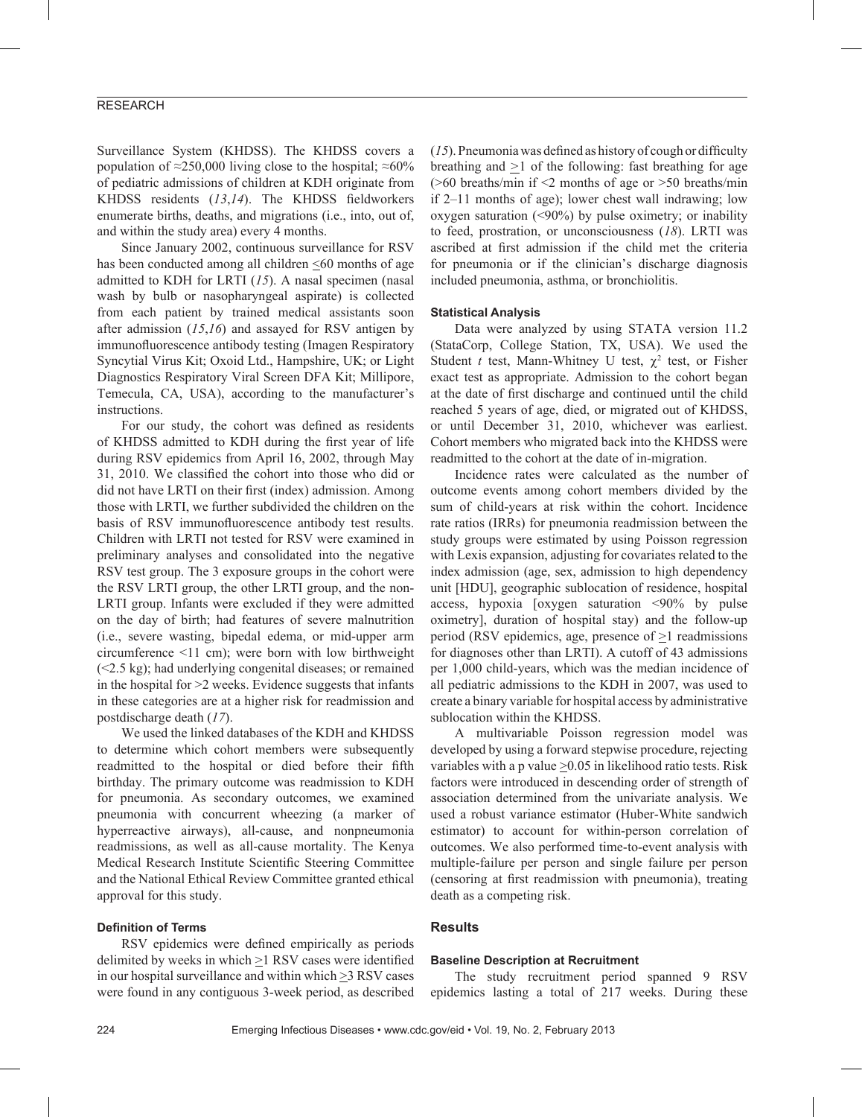# RESEARCH

Surveillance System (KHDSS). The KHDSS covers a population of ≈250,000 living close to the hospital; ≈60% of pediatric admissions of children at KDH originate from KHDSS residents (*13*,*14*). The KHDSS fieldworkers enumerate births, deaths, and migrations (i.e., into, out of, and within the study area) every 4 months.

Since January 2002, continuous surveillance for RSV has been conducted among all children <60 months of age admitted to KDH for LRTI (*15*). A nasal specimen (nasal wash by bulb or nasopharyngeal aspirate) is collected from each patient by trained medical assistants soon after admission (*15*,*16*) and assayed for RSV antigen by immunofluorescence antibody testing (Imagen Respiratory Syncytial Virus Kit; Oxoid Ltd., Hampshire, UK; or Light Diagnostics Respiratory Viral Screen DFA Kit; Millipore, Temecula, CA, USA), according to the manufacturer's instructions.

For our study, the cohort was defined as residents of KHDSS admitted to KDH during the first year of life during RSV epidemics from April 16, 2002, through May 31, 2010. We classified the cohort into those who did or did not have LRTI on their first (index) admission. Among those with LRTI, we further subdivided the children on the basis of RSV immunofluorescence antibody test results. Children with LRTI not tested for RSV were examined in preliminary analyses and consolidated into the negative RSV test group. The 3 exposure groups in the cohort were the RSV LRTI group, the other LRTI group, and the non-LRTI group. Infants were excluded if they were admitted on the day of birth; had features of severe malnutrition (i.e., severe wasting, bipedal edema, or mid-upper arm circumference <11 cm); were born with low birthweight (<2.5 kg); had underlying congenital diseases; or remained in the hospital for >2 weeks. Evidence suggests that infants in these categories are at a higher risk for readmission and postdischarge death (*17*).

We used the linked databases of the KDH and KHDSS to determine which cohort members were subsequently readmitted to the hospital or died before their fifth birthday. The primary outcome was readmission to KDH for pneumonia. As secondary outcomes, we examined pneumonia with concurrent wheezing (a marker of hyperreactive airways), all-cause, and nonpneumonia readmissions, as well as all-cause mortality. The Kenya Medical Research Institute Scientific Steering Committee and the National Ethical Review Committee granted ethical approval for this study.

## **Definition of Terms**

RSV epidemics were defined empirically as periods delimited by weeks in which >1 RSV cases were identified in our hospital surveillance and within which >3 RSV cases were found in any contiguous 3-week period, as described

(*15*). Pneumonia was defined as history of cough or difficulty breathing and *>*1 of the following: fast breathing for age  $(0.60 \text{ breaths/min if} \leq 2 \text{ months of age or } 50 \text{ breaths/min})$ if 2–11 months of age); lower chest wall indrawing; low oxygen saturation  $($ <90%) by pulse oximetry; or inability to feed, prostration, or unconsciousness (*18*). LRTI was ascribed at first admission if the child met the criteria for pneumonia or if the clinician's discharge diagnosis included pneumonia, asthma, or bronchiolitis.

## **Statistical Analysis**

Data were analyzed by using STATA version 11.2 (StataCorp, College Station, TX, USA). We used the Student *t* test, Mann-Whitney U test,  $\chi^2$  test, or Fisher exact test as appropriate. Admission to the cohort began at the date of first discharge and continued until the child reached 5 years of age, died, or migrated out of KHDSS, or until December 31, 2010, whichever was earliest. Cohort members who migrated back into the KHDSS were readmitted to the cohort at the date of in-migration.

Incidence rates were calculated as the number of outcome events among cohort members divided by the sum of child-years at risk within the cohort. Incidence rate ratios (IRRs) for pneumonia readmission between the study groups were estimated by using Poisson regression with Lexis expansion, adjusting for covariates related to the index admission (age, sex, admission to high dependency unit [HDU], geographic sublocation of residence, hospital access, hypoxia [oxygen saturation <90% by pulse oximetry], duration of hospital stay) and the follow-up period (RSV epidemics, age, presence of >1 readmissions for diagnoses other than LRTI). A cutoff of 43 admissions per 1,000 child-years, which was the median incidence of all pediatric admissions to the KDH in 2007, was used to create a binary variable for hospital access by administrative sublocation within the KHDSS.

A multivariable Poisson regression model was developed by using a forward stepwise procedure, rejecting variables with a p value  $\geq$ 0.05 in likelihood ratio tests. Risk factors were introduced in descending order of strength of association determined from the univariate analysis. We used a robust variance estimator (Huber-White sandwich estimator) to account for within-person correlation of outcomes. We also performed time-to-event analysis with multiple-failure per person and single failure per person (censoring at first readmission with pneumonia), treating death as a competing risk.

# **Results**

#### **Baseline Description at Recruitment**

The study recruitment period spanned 9 RSV epidemics lasting a total of 217 weeks. During these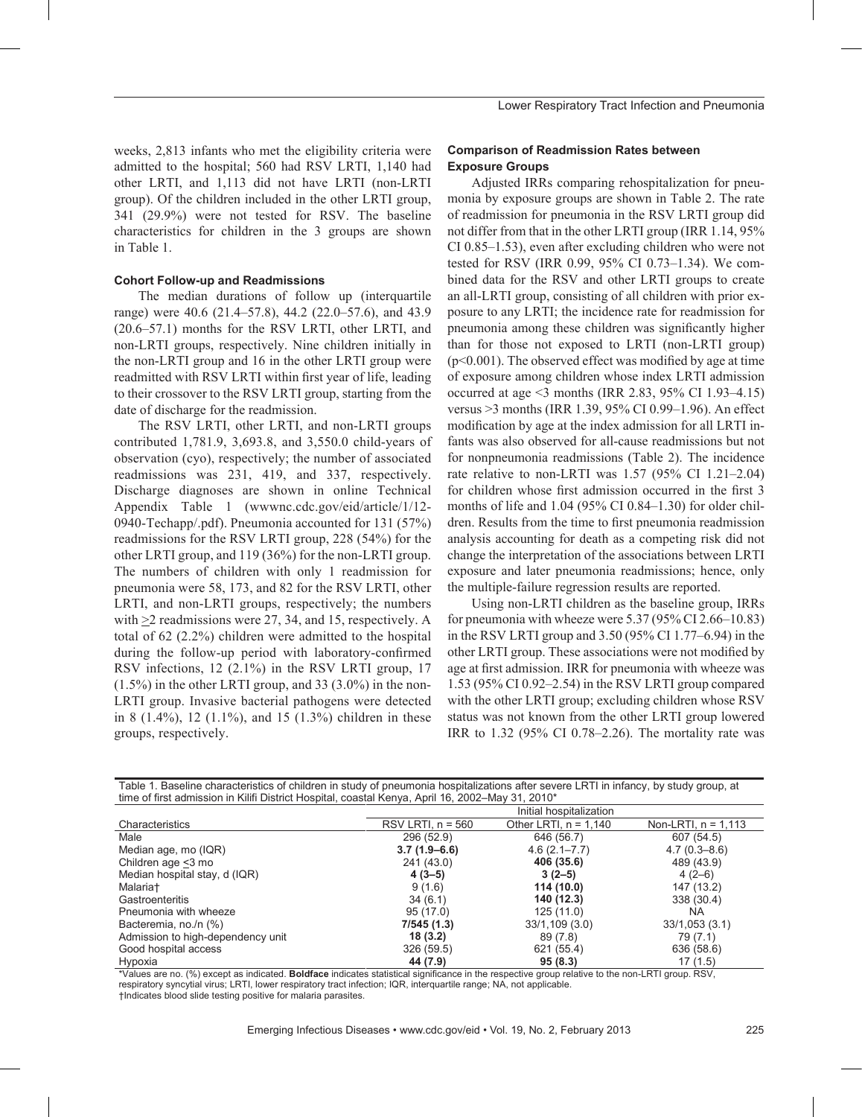weeks, 2,813 infants who met the eligibility criteria were admitted to the hospital; 560 had RSV LRTI, 1,140 had other LRTI, and 1,113 did not have LRTI (non-LRTI group). Of the children included in the other LRTI group, 341 (29.9%) were not tested for RSV. The baseline characteristics for children in the 3 groups are shown in Table 1.

#### **Cohort Follow-up and Readmissions**

The median durations of follow up (interquartile range) were 40.6 (21.4–57.8), 44.2 (22.0–57.6), and 43.9 (20.6–57.1) months for the RSV LRTI, other LRTI, and non-LRTI groups, respectively. Nine children initially in the non-LRTI group and 16 in the other LRTI group were readmitted with RSV LRTI within first year of life, leading to their crossover to the RSV LRTI group, starting from the date of discharge for the readmission.

The RSV LRTI, other LRTI, and non-LRTI groups contributed 1,781.9, 3,693.8, and 3,550.0 child-years of observation (cyo), respectively; the number of associated readmissions was 231, 419, and 337, respectively. Discharge diagnoses are shown in online Technical Appendix Table 1 (wwwnc.cdc.gov/eid/article/1/12- 0940-Techapp/.pdf). Pneumonia accounted for 131 (57%) readmissions for the RSV LRTI group, 228 (54%) for the other LRTI group, and 119 (36%) for the non-LRTI group. The numbers of children with only 1 readmission for pneumonia were 58, 173, and 82 for the RSV LRTI, other LRTI, and non-LRTI groups, respectively; the numbers with  $\geq$  readmissions were 27, 34, and 15, respectively. A total of 62 (2.2%) children were admitted to the hospital during the follow-up period with laboratory-confirmed RSV infections, 12 (2.1%) in the RSV LRTI group, 17 (1.5%) in the other LRTI group, and 33 (3.0%) in the non-LRTI group. Invasive bacterial pathogens were detected in 8 (1.4%), 12 (1.1%), and 15 (1.3%) children in these groups, respectively.

# **Comparison of Readmission Rates between Exposure Groups**

Adjusted IRRs comparing rehospitalization for pneumonia by exposure groups are shown in Table 2. The rate of readmission for pneumonia in the RSV LRTI group did not differ from that in the other LRTI group (IRR 1.14, 95% CI 0.85–1.53), even after excluding children who were not tested for RSV (IRR 0.99, 95% CI 0.73–1.34). We combined data for the RSV and other LRTI groups to create an all-LRTI group, consisting of all children with prior exposure to any LRTI; the incidence rate for readmission for pneumonia among these children was significantly higher than for those not exposed to LRTI (non-LRTI group)  $(p<0.001)$ . The observed effect was modified by age at time of exposure among children whose index LRTI admission occurred at age <3 months (IRR 2.83, 95% CI 1.93–4.15) versus >3 months (IRR 1.39, 95% CI 0.99–1.96). An effect modification by age at the index admission for all LRTI infants was also observed for all-cause readmissions but not for nonpneumonia readmissions (Table 2). The incidence rate relative to non-LRTI was 1.57 (95% CI 1.21–2.04) for children whose first admission occurred in the first 3 months of life and 1.04 (95% CI 0.84–1.30) for older children. Results from the time to first pneumonia readmission analysis accounting for death as a competing risk did not change the interpretation of the associations between LRTI exposure and later pneumonia readmissions; hence, only the multiple-failure regression results are reported.

Using non-LRTI children as the baseline group, IRRs for pneumonia with wheeze were 5.37 (95% CI 2.66–10.83) in the RSV LRTI group and 3.50 (95% CI 1.77–6.94) in the other LRTI group. These associations were not modified by age at first admission. IRR for pneumonia with wheeze was 1.53 (95% CI 0.92–2.54) in the RSV LRTI group compared with the other LRTI group; excluding children whose RSV status was not known from the other LRTI group lowered IRR to 1.32 (95% CI 0.78–2.26). The mortality rate was

| time of first admission in Kilifi District Hospital, coastal Kenya, April 16, 2002–May 31, 2010° |                         |                         |                       |  |  |  |  |
|--------------------------------------------------------------------------------------------------|-------------------------|-------------------------|-----------------------|--|--|--|--|
|                                                                                                  | Initial hospitalization |                         |                       |  |  |  |  |
| Characteristics                                                                                  | RSV LRTI, $n = 560$     | Other LRTI, $n = 1,140$ | Non-LRTI, $n = 1,113$ |  |  |  |  |
| Male                                                                                             | 296 (52.9)              | 646 (56.7)              | 607 (54.5)            |  |  |  |  |
| Median age, mo (IQR)                                                                             | $3.7(1.9-6.6)$          | $4.6(2.1 - 7.7)$        | $4.7(0.3 - 8.6)$      |  |  |  |  |
| Children age <3 mo                                                                               | 241 (43.0)              | 406 (35.6)              | 489 (43.9)            |  |  |  |  |
| Median hospital stay, d (IQR)                                                                    | $4(3-5)$                | $3(2-5)$                | $4(2-6)$              |  |  |  |  |
| Malaria <sup>+</sup>                                                                             | 9(1.6)                  | 114 (10.0)              | 147 (13.2)            |  |  |  |  |
| Gastroenteritis                                                                                  | 34(6.1)                 | 140 (12.3)              | 338 (30.4)            |  |  |  |  |
| Pneumonia with wheeze                                                                            | 95(17.0)                | 125(11.0)               | NA.                   |  |  |  |  |
| Bacteremia, no./n (%)                                                                            | 7/545 (1.3)             | 33/1,109(3.0)           | 33/1,053(3.1)         |  |  |  |  |
| Admission to high-dependency unit                                                                | 18(3.2)                 | 89 (7.8)                | 79 (7.1)              |  |  |  |  |
| Good hospital access                                                                             | 326 (59.5)              | 621 (55.4)              | 636 (58.6)            |  |  |  |  |
| Hypoxia                                                                                          | 44 (7.9)                | 95(8.3)                 | 17 (1.5)              |  |  |  |  |

Table 1. Baseline characteristics of children in study of pneumonia hospitalizations after severe LRTI in infancy, by study group, at time of first admission in Kilifi District Hospital, coastal Kenya, April 16, 2002–May 31, 2010\*

\*Values are no. (%) except as indicated. **Boldface** indicates statistical significance in the respective group relative to the non-LRTI group. RSV, respiratory syncytial virus; LRTI, lower respiratory tract infection; IQR, interquartile range; NA, not applicable. †Indicates blood slide testing positive for malaria parasites.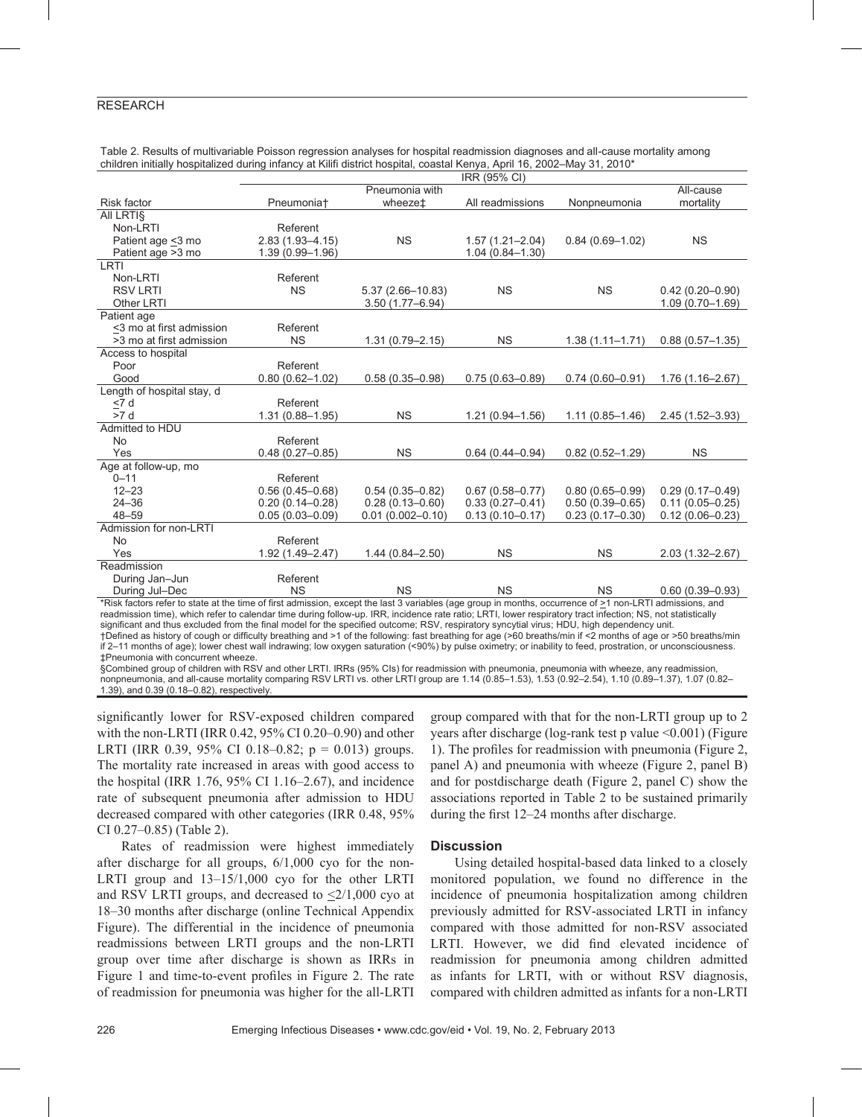# RESEARCH

|                                                                                                                                                                             | IRR (95% CI)           |                      |                     |                     |                     |  |
|-----------------------------------------------------------------------------------------------------------------------------------------------------------------------------|------------------------|----------------------|---------------------|---------------------|---------------------|--|
|                                                                                                                                                                             |                        | Pneumonia with       |                     |                     | All-cause           |  |
| <b>Risk factor</b>                                                                                                                                                          | Pneumonia <sup>+</sup> | wheeze <sup>+</sup>  | All readmissions    | Nonpneumonia        | mortality           |  |
| All LRTIS                                                                                                                                                                   |                        |                      |                     |                     |                     |  |
| Non-LRTI                                                                                                                                                                    | Referent               |                      |                     |                     |                     |  |
| Patient age <3 mo                                                                                                                                                           | $2.83(1.93 - 4.15)$    | <b>NS</b>            | $1.57(1.21 - 2.04)$ | $0.84(0.69 - 1.02)$ | <b>NS</b>           |  |
| Patient age > 3 mo                                                                                                                                                          | 1.39 (0.99-1.96)       |                      | $1.04(0.84 - 1.30)$ |                     |                     |  |
| LRTI                                                                                                                                                                        |                        |                      |                     |                     |                     |  |
| Non-LRTI                                                                                                                                                                    | Referent               |                      |                     |                     |                     |  |
| <b>RSV LRTI</b>                                                                                                                                                             | <b>NS</b>              | $5.37(2.66 - 10.83)$ | <b>NS</b>           | <b>NS</b>           | $0.42(0.20 - 0.90)$ |  |
| Other LRTI                                                                                                                                                                  |                        | $3.50(1.77 - 6.94)$  |                     |                     | $1.09(0.70 - 1.69)$ |  |
| Patient age                                                                                                                                                                 |                        |                      |                     |                     |                     |  |
| <3 mo at first admission                                                                                                                                                    | Referent               |                      |                     |                     |                     |  |
| >3 mo at first admission                                                                                                                                                    | <b>NS</b>              | $1.31(0.79 - 2.15)$  | <b>NS</b>           | $1.38(1.11 - 1.71)$ | $0.88(0.57 - 1.35)$ |  |
| Access to hospital                                                                                                                                                          |                        |                      |                     |                     |                     |  |
| Poor                                                                                                                                                                        | Referent               |                      |                     |                     |                     |  |
| Good                                                                                                                                                                        | $0.80(0.62 - 1.02)$    | $0.58(0.35 - 0.98)$  | $0.75(0.63 - 0.89)$ | $0.74(0.60 - 0.91)$ | $1.76(1.16 - 2.67)$ |  |
| Length of hospital stay, d                                                                                                                                                  |                        |                      |                     |                     |                     |  |
| < 7 d                                                                                                                                                                       | Referent               |                      |                     |                     |                     |  |
| >7 d                                                                                                                                                                        | $1.31(0.88 - 1.95)$    | <b>NS</b>            | $1.21(0.94 - 1.56)$ | $1.11(0.85 - 1.46)$ | $2.45(1.52 - 3.93)$ |  |
| Admitted to HDU                                                                                                                                                             |                        |                      |                     |                     |                     |  |
| <b>No</b>                                                                                                                                                                   | Referent               |                      |                     |                     |                     |  |
| Yes                                                                                                                                                                         | $0.48(0.27 - 0.85)$    | <b>NS</b>            | $0.64(0.44 - 0.94)$ | $0.82(0.52 - 1.29)$ | <b>NS</b>           |  |
| Age at follow-up, mo                                                                                                                                                        |                        |                      |                     |                     |                     |  |
| $0 - 11$                                                                                                                                                                    | Referent               |                      |                     |                     |                     |  |
| $12 - 23$                                                                                                                                                                   | $0.56(0.45 - 0.68)$    | $0.54(0.35 - 0.82)$  | $0.67(0.58 - 0.77)$ | $0.80(0.65 - 0.99)$ | $0.29(0.17 - 0.49)$ |  |
| $24 - 36$                                                                                                                                                                   | $0.20(0.14 - 0.28)$    | $0.28(0.13 - 0.60)$  | $0.33(0.27 - 0.41)$ | $0.50(0.39 - 0.65)$ | $0.11(0.05 - 0.25)$ |  |
| $48 - 59$                                                                                                                                                                   | $0.05(0.03 - 0.09)$    | $0.01(0.002 - 0.10)$ | $0.13(0.10 - 0.17)$ | $0.23(0.17-0.30)$   | $0.12(0.06 - 0.23)$ |  |
| Admission for non-LRTI                                                                                                                                                      |                        |                      |                     |                     |                     |  |
| <b>No</b>                                                                                                                                                                   | Referent               |                      |                     |                     |                     |  |
| Yes                                                                                                                                                                         | $1.92(1.49 - 2.47)$    | $1.44(0.84 - 2.50)$  | <b>NS</b>           | <b>NS</b>           | $2.03(1.32 - 2.67)$ |  |
| Readmission                                                                                                                                                                 |                        |                      |                     |                     |                     |  |
| During Jan-Jun                                                                                                                                                              | Referent               |                      |                     |                     |                     |  |
| During Jul-Dec<br>*Diek feeters refer to otate at the time of first edmission, event the leat 2 variables (ege group in menthe, essurrence of $>1$ nep LBTL edmissions, and | <b>NS</b>              | <b>NS</b>            | <b>NS</b>           | <b>NS</b>           | $0.60(0.39 - 0.93)$ |  |

Table 2. Results of multivariable Poisson regression analyses for hospital readmission diagnoses and all-cause mortality among children initially hospitalized during infancy at Kilifi district hospital, coastal Kenya, April 16, 2002–May 31, 2010\*

\*Risk factors refer to state at the time of first admission, except the last 3 variables (age group in months, occurrence of >1 non-LRTI admissions, and readmission time), which refer to calendar time during follow-up. IRR, incidence rate ratio; LRTI, lower respiratory tract infection; NS, not statistically significant and thus excluded from the final model for the specified outcome; RSV, respiratory syncytial virus; HDU, high dependency unit. †Defined as history of cough or difficulty breathing and >1 of the following: fast breathing for age (>60 breaths/min if <2 months of age or >50 breaths/min if 2–11 months of age); lower chest wall indrawing; low oxygen saturation (<90%) by pulse oximetry; or inability to feed, prostration, or unconsciousness.

‡Pneumonia with concurrent wheeze. §Combined group of children with RSV and other LRTI. IRRs (95% CIs) for readmission with pneumonia, pneumonia with wheeze, any readmission, nonpneumonia, and all-cause mortality comparing RSV LRTI vs. other LRTI group are 1.14 (0.85–1.53), 1.53 (0.92–2.54), 1.10 (0.89–1.37), 1.07 (0.82– 1.39), and 0.39 (0.18–0.82), respectively.

significantly lower for RSV-exposed children compared with the non-LRTI (IRR 0.42, 95% CI 0.20–0.90) and other LRTI (IRR 0.39, 95% CI 0.18–0.82;  $p = 0.013$ ) groups. The mortality rate increased in areas with good access to the hospital (IRR  $1.76$ ,  $95\%$  CI  $1.16-2.67$ ), and incidence rate of subsequent pneumonia after admission to HDU decreased compared with other categories (IRR 0.48, 95% CI 0.27–0.85) (Table 2).

Rates of readmission were highest immediately after discharge for all groups, 6/1,000 cyo for the non-LRTI group and 13–15/1,000 cyo for the other LRTI and RSV LRTI groups, and decreased to  $\leq 2/1,000$  cyo at 18–30 months after discharge (online Technical Appendix Figure). The differential in the incidence of pneumonia readmissions between LRTI groups and the non-LRTI group over time after discharge is shown as IRRs in Figure 1 and time-to-event profiles in Figure 2. The rate of readmission for pneumonia was higher for the all-LRTI group compared with that for the non-LRTI group up to 2 years after discharge (log-rank test p value <0.001) (Figure 1). The profiles for readmission with pneumonia (Figure 2, panel A) and pneumonia with wheeze (Figure 2, panel B) and for postdischarge death (Figure 2, panel C) show the associations reported in Table 2 to be sustained primarily during the first 12–24 months after discharge.

#### **Discussion**

Using detailed hospital-based data linked to a closely monitored population, we found no difference in the incidence of pneumonia hospitalization among children previously admitted for RSV-associated LRTI in infancy compared with those admitted for non-RSV associated LRTI. However, we did find elevated incidence of readmission for pneumonia among children admitted as infants for LRTI, with or without RSV diagnosis, compared with children admitted as infants for a non-LRTI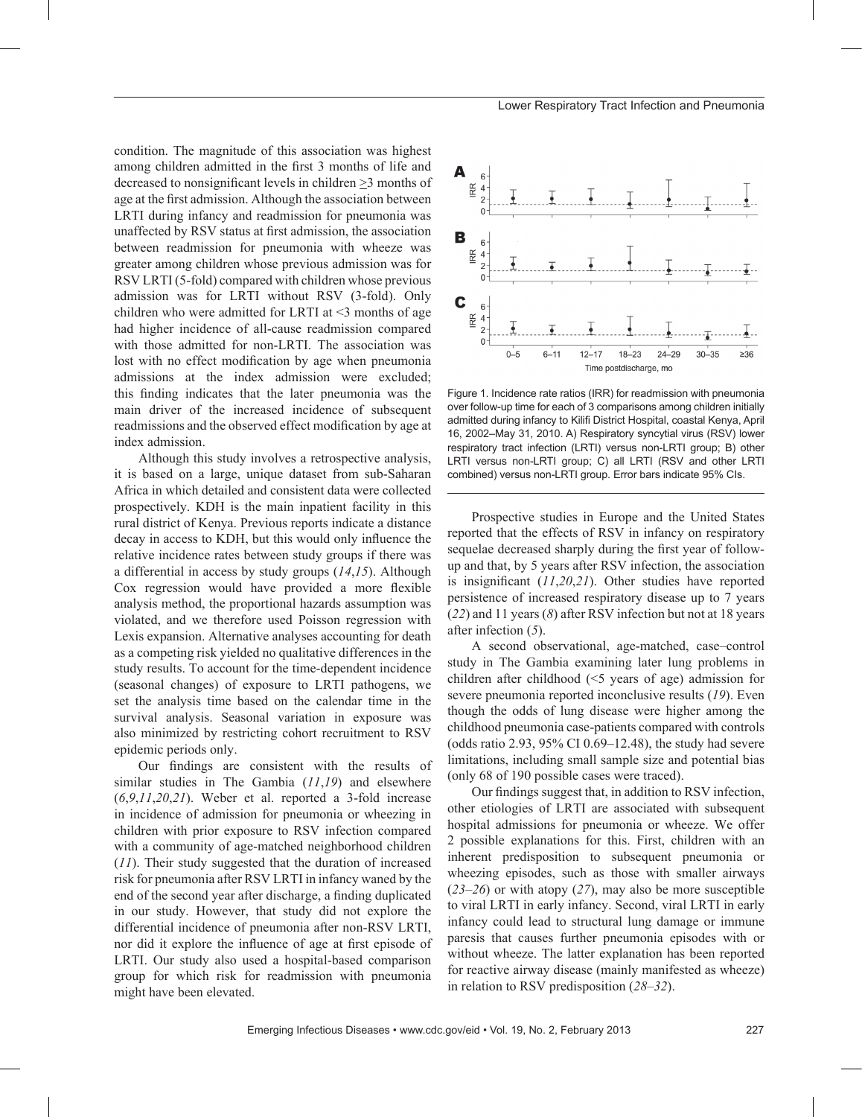condition. The magnitude of this association was highest among children admitted in the first 3 months of life and decreased to nonsignificant levels in children >3 months of age at the first admission. Although the association between LRTI during infancy and readmission for pneumonia was unaffected by RSV status at first admission, the association between readmission for pneumonia with wheeze was greater among children whose previous admission was for RSV LRTI (5-fold) compared with children whose previous admission was for LRTI without RSV (3-fold). Only children who were admitted for LRTI at  $\leq$  months of age had higher incidence of all-cause readmission compared with those admitted for non-LRTI. The association was lost with no effect modification by age when pneumonia admissions at the index admission were excluded; this finding indicates that the later pneumonia was the main driver of the increased incidence of subsequent readmissions and the observed effect modification by age at index admission.

Although this study involves a retrospective analysis, it is based on a large, unique dataset from sub-Saharan Africa in which detailed and consistent data were collected prospectively. KDH is the main inpatient facility in this rural district of Kenya. Previous reports indicate a distance decay in access to KDH, but this would only influence the relative incidence rates between study groups if there was a differential in access by study groups (*14*,*15*). Although Cox regression would have provided a more flexible analysis method, the proportional hazards assumption was violated, and we therefore used Poisson regression with Lexis expansion. Alternative analyses accounting for death as a competing risk yielded no qualitative differences in the study results. To account for the time-dependent incidence (seasonal changes) of exposure to LRTI pathogens, we set the analysis time based on the calendar time in the survival analysis. Seasonal variation in exposure was also minimized by restricting cohort recruitment to RSV epidemic periods only.

Our findings are consistent with the results of similar studies in The Gambia (*11*,*19*) and elsewhere (*6*,*9*,*11*,*20*,*21*). Weber et al. reported a 3-fold increase in incidence of admission for pneumonia or wheezing in children with prior exposure to RSV infection compared with a community of age-matched neighborhood children (*11*). Their study suggested that the duration of increased risk for pneumonia after RSV LRTI in infancy waned by the end of the second year after discharge, a finding duplicated in our study. However, that study did not explore the differential incidence of pneumonia after non-RSV LRTI, nor did it explore the influence of age at first episode of LRTI. Our study also used a hospital-based comparison group for which risk for readmission with pneumonia might have been elevated.



Figure 1. Incidence rate ratios (IRR) for readmission with pneumonia over follow-up time for each of 3 comparisons among children initially admitted during infancy to Kilifi District Hospital, coastal Kenya, April 16, 2002–May 31, 2010. A) Respiratory syncytial virus (RSV) lower respiratory tract infection (LRTI) versus non-LRTI group; B) other LRTI versus non-LRTI group; C) all LRTI (RSV and other LRTI combined) versus non-LRTI group. Error bars indicate 95% CIs.

Prospective studies in Europe and the United States reported that the effects of RSV in infancy on respiratory sequelae decreased sharply during the first year of followup and that, by 5 years after RSV infection, the association is insignificant (*11*,*20*,*21*). Other studies have reported persistence of increased respiratory disease up to 7 years (*22*) and 11 years (*8*) after RSV infection but not at 18 years after infection (*5*).

A second observational, age-matched, case–control study in The Gambia examining later lung problems in children after childhood (<5 years of age) admission for severe pneumonia reported inconclusive results (*19*). Even though the odds of lung disease were higher among the childhood pneumonia case-patients compared with controls (odds ratio 2.93, 95% CI 0.69–12.48), the study had severe limitations, including small sample size and potential bias (only 68 of 190 possible cases were traced).

Our findings suggest that, in addition to RSV infection, other etiologies of LRTI are associated with subsequent hospital admissions for pneumonia or wheeze. We offer 2 possible explanations for this. First, children with an inherent predisposition to subsequent pneumonia or wheezing episodes, such as those with smaller airways (*23*–*26*) or with atopy (*27*), may also be more susceptible to viral LRTI in early infancy. Second, viral LRTI in early infancy could lead to structural lung damage or immune paresis that causes further pneumonia episodes with or without wheeze. The latter explanation has been reported for reactive airway disease (mainly manifested as wheeze) in relation to RSV predisposition (*28*–*32*).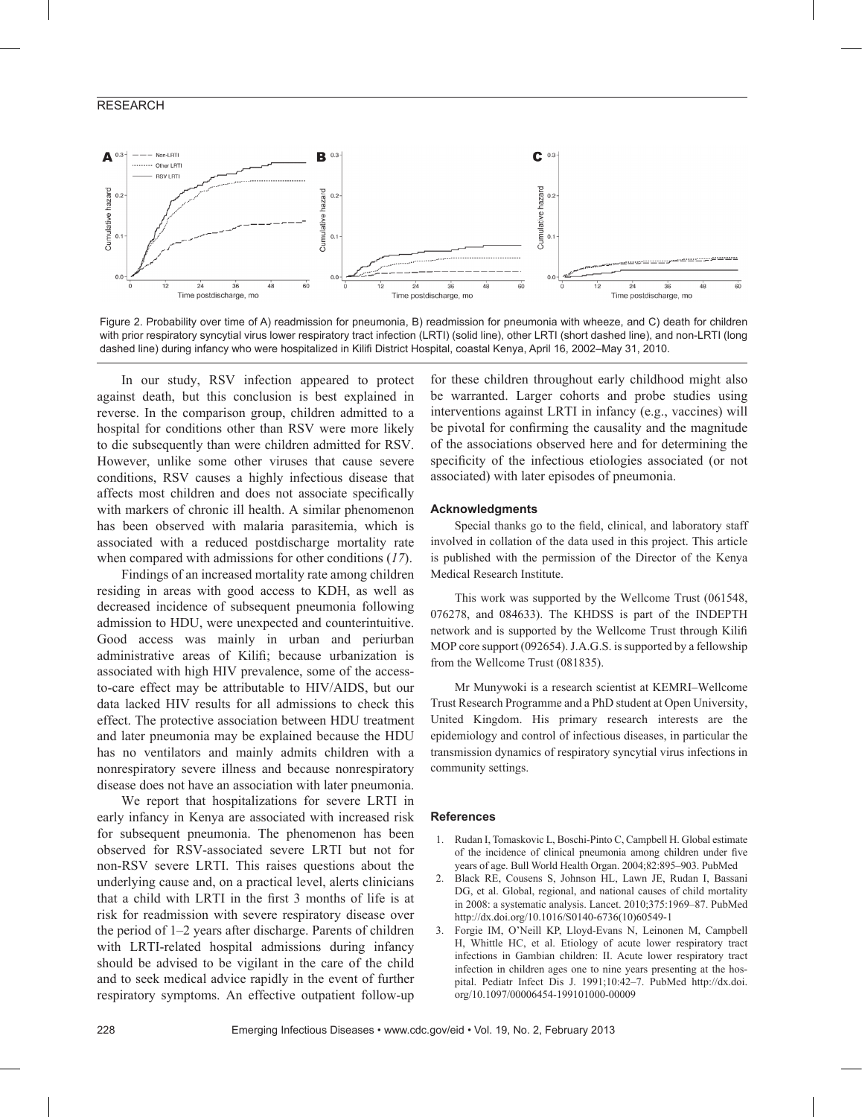# RESEARCH



Figure 2. Probability over time of A) readmission for pneumonia, B) readmission for pneumonia with wheeze, and C) death for children with prior respiratory syncytial virus lower respiratory tract infection (LRTI) (solid line), other LRTI (short dashed line), and non-LRTI (long dashed line) during infancy who were hospitalized in Kilifi District Hospital, coastal Kenya, April 16, 2002–May 31, 2010.

In our study, RSV infection appeared to protect against death, but this conclusion is best explained in reverse. In the comparison group, children admitted to a hospital for conditions other than RSV were more likely to die subsequently than were children admitted for RSV. However, unlike some other viruses that cause severe conditions, RSV causes a highly infectious disease that affects most children and does not associate specifically with markers of chronic ill health. A similar phenomenon has been observed with malaria parasitemia, which is associated with a reduced postdischarge mortality rate when compared with admissions for other conditions (*17*).

Findings of an increased mortality rate among children residing in areas with good access to KDH, as well as decreased incidence of subsequent pneumonia following admission to HDU, were unexpected and counterintuitive. Good access was mainly in urban and periurban administrative areas of Kilifi; because urbanization is associated with high HIV prevalence, some of the accessto-care effect may be attributable to HIV/AIDS, but our data lacked HIV results for all admissions to check this effect. The protective association between HDU treatment and later pneumonia may be explained because the HDU has no ventilators and mainly admits children with a nonrespiratory severe illness and because nonrespiratory disease does not have an association with later pneumonia.

We report that hospitalizations for severe LRTI in early infancy in Kenya are associated with increased risk for subsequent pneumonia. The phenomenon has been observed for RSV-associated severe LRTI but not for non-RSV severe LRTI. This raises questions about the underlying cause and, on a practical level, alerts clinicians that a child with LRTI in the first 3 months of life is at risk for readmission with severe respiratory disease over the period of 1–2 years after discharge. Parents of children with LRTI-related hospital admissions during infancy should be advised to be vigilant in the care of the child and to seek medical advice rapidly in the event of further respiratory symptoms. An effective outpatient follow-up

for these children throughout early childhood might also be warranted. Larger cohorts and probe studies using interventions against LRTI in infancy (e.g., vaccines) will be pivotal for confirming the causality and the magnitude of the associations observed here and for determining the specificity of the infectious etiologies associated (or not associated) with later episodes of pneumonia.

#### **Acknowledgments**

Special thanks go to the field, clinical, and laboratory staff involved in collation of the data used in this project. This article is published with the permission of the Director of the Kenya Medical Research Institute.

This work was supported by the Wellcome Trust (061548, 076278, and 084633). The KHDSS is part of the INDEPTH network and is supported by the Wellcome Trust through Kilifi MOP core support (092654). J.A.G.S. is supported by a fellowship from the Wellcome Trust (081835).

Mr Munywoki is a research scientist at KEMRI–Wellcome Trust Research Programme and a PhD student at Open University, United Kingdom. His primary research interests are the epidemiology and control of infectious diseases, in particular the transmission dynamics of respiratory syncytial virus infections in community settings.

# **References**

- 1. Rudan I, Tomaskovic L, Boschi-Pinto C, Campbell H. Global estimate of the incidence of clinical pneumonia among children under five years of age. Bull World Health Organ. 2004;82:895–903. PubMed
- 2. Black RE, Cousens S, Johnson HL, Lawn JE, Rudan I, Bassani DG, et al. Global, regional, and national causes of child mortality in 2008: a systematic analysis. Lancet. 2010;375:1969–87. PubMed http://dx.doi.org/10.1016/S0140-6736(10)60549-1
- 3. Forgie IM, O'Neill KP, Lloyd-Evans N, Leinonen M, Campbell H, Whittle HC, et al. Etiology of acute lower respiratory tract infections in Gambian children: II. Acute lower respiratory tract infection in children ages one to nine years presenting at the hospital. Pediatr Infect Dis J. 1991;10:42–7. PubMed http://dx.doi. org/10.1097/00006454-199101000-00009